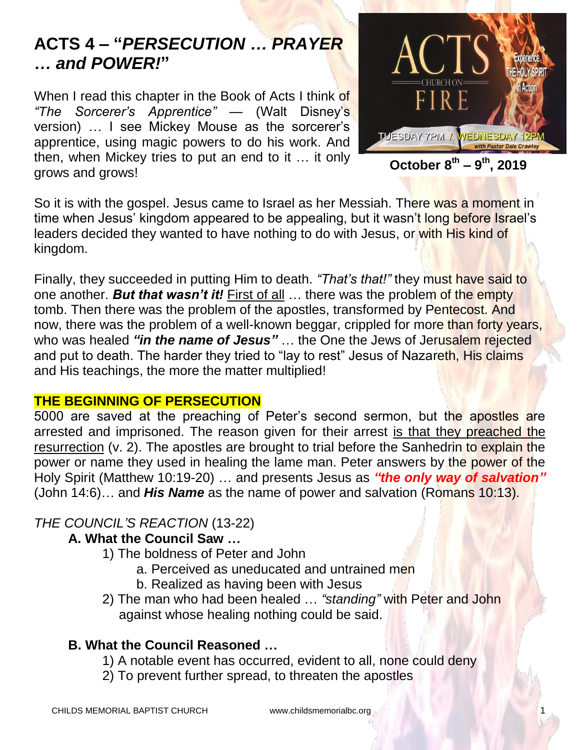# **ACTS 4 – "***PERSECUTION … PRAYER … and POWER!***"**

When I read this chapter in the Book of Acts I think of *"The Sorcerer's Apprentice"* — (Walt Disney's version) … I see Mickey Mouse as the sorcerer's apprentice, using magic powers to do his work. And then, when Mickey tries to put an end to it … it only grows and grows!



**October 8 th – 9 th, 2019**

So it is with the gospel. Jesus came to Israel as her Messiah. There was a moment in time when Jesus' kingdom appeared to be appealing, but it wasn't long before Israel's leaders decided they wanted to have nothing to do with Jesus, or with His kind of kingdom.

Finally, they succeeded in putting Him to death. *"That's that!"* they must have said to one another. *But that wasn't it!* First of all … there was the problem of the empty tomb. Then there was the problem of the apostles, transformed by Pentecost. And now, there was the problem of a well-known beggar, crippled for more than forty years, who was healed *"in the name of Jesus"* … the One the Jews of Jerusalem rejected and put to death. The harder they tried to "lay to rest" Jesus of Nazareth, His claims and His teachings, the more the matter multiplied!

#### **THE BEGINNING OF PERSECUTION**

5000 are saved at the preaching of Peter's second sermon, but the apostles are arrested and imprisoned. The reason given for their arrest is that they preached the resurrection (v. 2). The apostles are brought to trial before the Sanhedrin to explain the power or name they used in healing the lame man. Peter answers by the power of the Holy Spirit (Matthew 10:19-20) … and presents Jesus as *"the only way of salvation"* (John 14:6)… and *His Name* as the name of power and salvation (Romans 10:13).

# *THE COUNCIL'S REACTION* (13-22)

# **A. What the Council Saw …**

- 1) The boldness of Peter and John
	- a. Perceived as uneducated and untrained men
	- b. Realized as having been with Jesus
- 2) The man who had been healed … *"standing"* with Peter and John against whose healing nothing could be said.

# **B. What the Council Reasoned …**

- 1) A notable event has occurred, evident to all, none could deny
- 2) To prevent further spread, to threaten the apostles